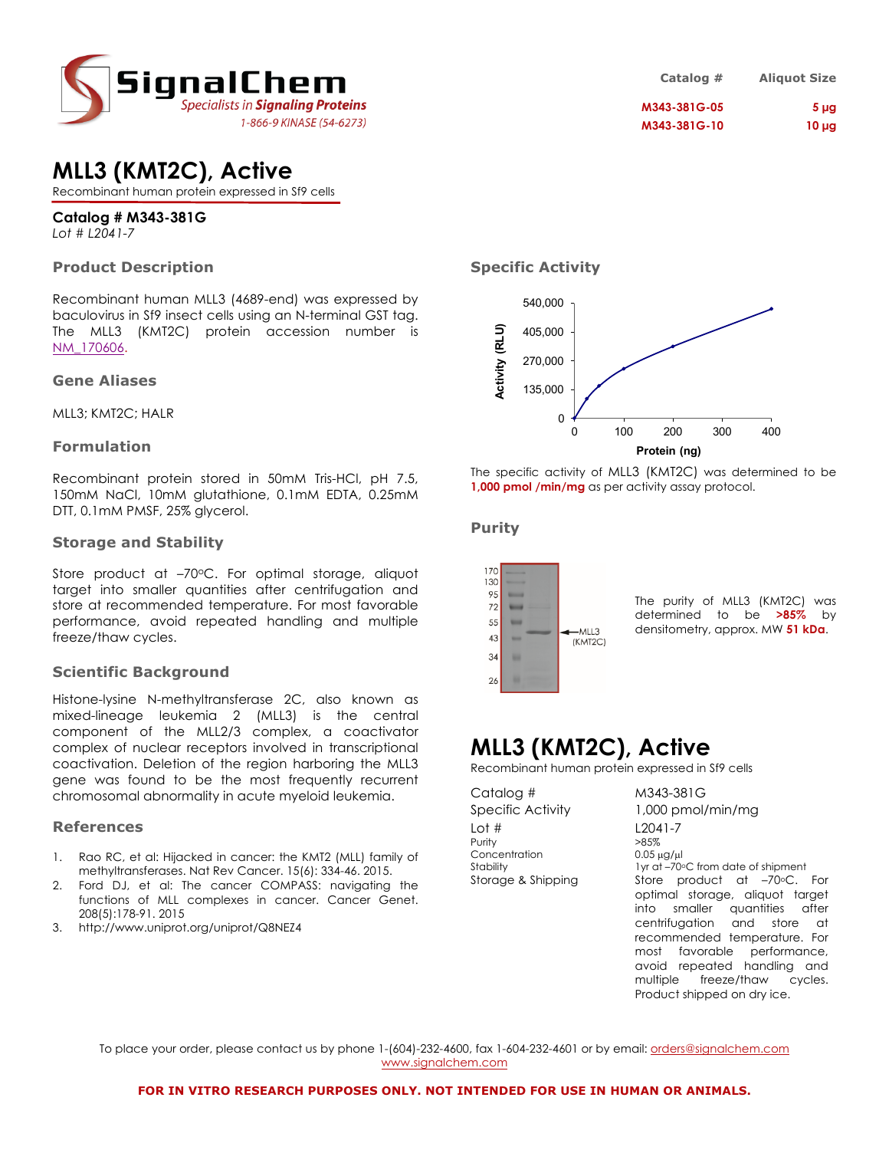

## **MLL3 (KMT2C), Active**

Recombinant human protein expressed in Sf9 cells

### **Catalog # M343-381G**

*Lot # L2041-7*

### **Product Description**

Recombinant human MLL3 (4689-end) was expressed by baculovirus in Sf9 insect cells using an N-terminal GST tag. The MLL3 (KMT2C) protein accession number is NM\_170606.

### **Gene Aliases**

MLL3; KMT2C; HALR

### **Formulation**

Recombinant protein stored in 50mM Tris-HCl, pH 7.5, 150mM NaCl, 10mM glutathione, 0.1mM EDTA, 0.25mM DTT, 0.1mM PMSF, 25% glycerol.

### **Storage and Stability**

Store product at -70°C. For optimal storage, aliquot target into smaller quantities after centrifugation and store at recommended temperature. For most favorable performance, avoid repeated handling and multiple freeze/thaw cycles.

### **Scientific Background**

Histone-lysine N-methyltransferase 2C, also known as mixed-lineage leukemia 2 (MLL3) is the central component of the MLL2/3 complex, a coactivator complex of nuclear receptors involved in transcriptional coactivation. Deletion of the region harboring the MLL3 gene was found to be the most frequently recurrent chromosomal abnormality in acute myeloid leukemia.

### **References**

- 1. Rao RC, et al: Hijacked in cancer: the KMT2 (MLL) family of methyltransferases. Nat Rev Cancer. 15(6): 334-46. 2015.
- 2. Ford DJ, et al: The cancer COMPASS: navigating the functions of MLL complexes in cancer. Cancer Genet. 208(5):178-91. 2015
- 3. http://www.uniprot.org/uniprot/Q8NEZ4

| Catalog #    | <b>Aliquot Size</b> |
|--------------|---------------------|
| M343-381G-05 | 5 <sub>µq</sub>     |
| M343-381G-10 | $10 \mu g$          |

### **Specific Activity**



The specific activity of MLL3 (KMT2C) was determined to be **1,000 pmol /min/mg** as per activity assay protocol.

### **Purity**



The purity of MLL3 (KMT2C) was determined to be **>85%** by densitometry, approx. MW **51 kDa**.

# **MLL3 (KMT2C), Active**

Recombinant human protein expressed in Sf9 cells

| Catalog #                                        |  |
|--------------------------------------------------|--|
| Specific Activity                                |  |
| Lot $#$<br>Purity                                |  |
| Concentration<br>Stability<br>Storage & Shipping |  |
|                                                  |  |

M343-381G  $1,000$  pmol/min/mg  $L2041 - 7$  $>85%$  $0.05$   $\mu$ a/ $\mu$ l I yr at –70°C from date of shipment Store product at  $-70$ <sup>o</sup>C. For optimal storage, aliquot target into smaller quantities after centrifugation and store at recommended temperature. For most favorable performance, avoid repeated handling and multiple freeze/thaw cycles. Product shipped on dry ice.

To place your order, please contact us by phone 1-(604)-232-4600, fax 1-604-232-4601 or by email: orders@signalchem.com www.signalchem.com

#### **FOR IN VITRO RESEARCH PURPOSES ONLY. NOT INTENDED FOR USE IN HUMAN OR ANIMALS.**